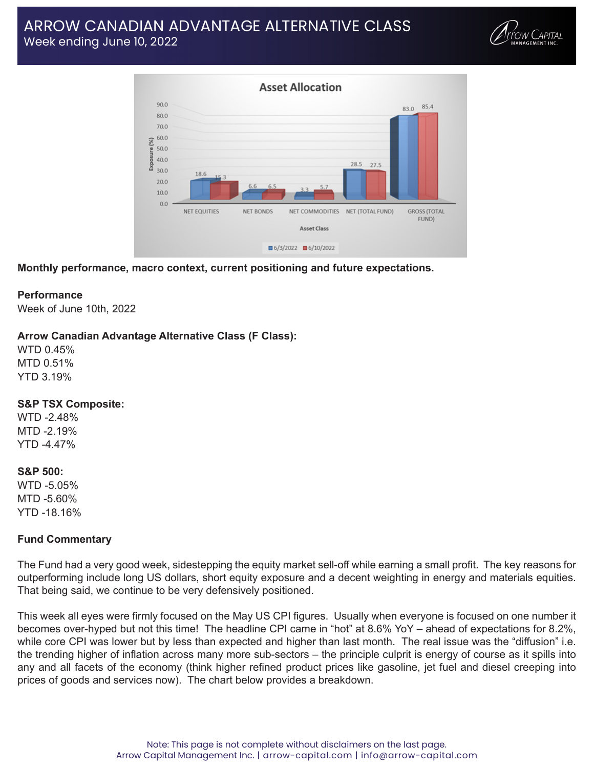# ARROW CANADIAN ADVANTAGE ALTERNATIVE CLASS Week ending June 10, 2022





**Monthly performance, macro context, current positioning and future expectations.**

## **Performance**

Week of June 10th, 2022

## **Arrow Canadian Advantage Alternative Class (F Class):**

WTD 0.45% MTD 0.51% YTD 3.19%

#### **S&P TSX Composite:**

WTD -2.48% MTD -2.19% YTD -4.47%

#### **S&P 500:**

WTD -5.05% MTD -5.60% YTD -18.16%

## **Fund Commentary**

The Fund had a very good week, sidestepping the equity market sell-off while earning a small profit. The key reasons for outperforming include long US dollars, short equity exposure and a decent weighting in energy and materials equities. That being said, we continue to be very defensively positioned.

This week all eyes were firmly focused on the May US CPI figures. Usually when everyone is focused on one number it becomes over-hyped but not this time! The headline CPI came in "hot" at 8.6% YoY – ahead of expectations for 8.2%, while core CPI was lower but by less than expected and higher than last month. The real issue was the "diffusion" i.e. the trending higher of inflation across many more sub-sectors – the principle culprit is energy of course as it spills into any and all facets of the economy (think higher refined product prices like gasoline, jet fuel and diesel creeping into prices of goods and services now). The chart below provides a breakdown.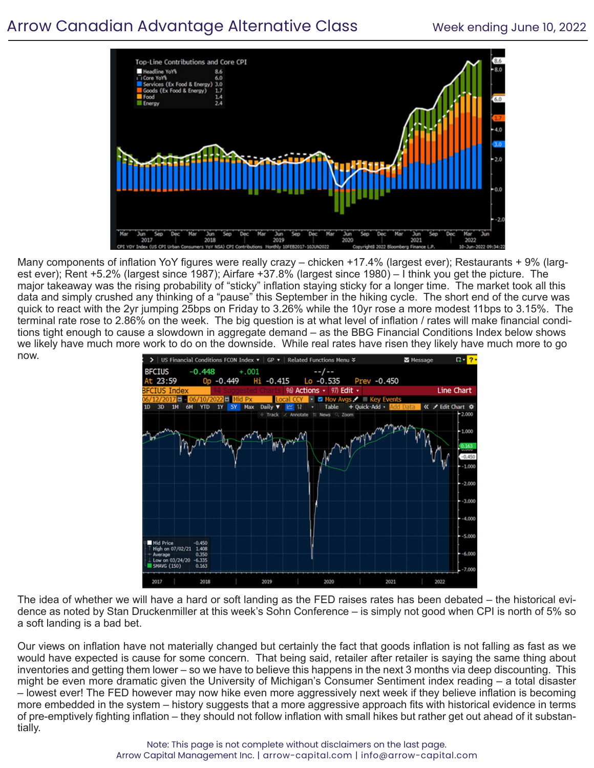# Arrow Canadian Advantage Alternative Class Week ending June 10, 2022



Many components of inflation YoY figures were really crazy – chicken +17.4% (largest ever); Restaurants + 9% (largest ever); Rent +5.2% (largest since 1987); Airfare +37.8% (largest since 1980) – I think you get the picture. The major takeaway was the rising probability of "sticky" inflation staying sticky for a longer time. The market took all this data and simply crushed any thinking of a "pause" this September in the hiking cycle. The short end of the curve was quick to react with the 2yr jumping 25bps on Friday to 3.26% while the 10yr rose a more modest 11bps to 3.15%. The terminal rate rose to 2.86% on the week. The big question is at what level of inflation / rates will make financial conditions tight enough to cause a slowdown in aggregate demand – as the BBG Financial Conditions Index below shows we likely have much more work to do on the downside. While real rates have risen they likely have much more to go now.



The idea of whether we will have a hard or soft landing as the FED raises rates has been debated – the historical evidence as noted by Stan Druckenmiller at this week's Sohn Conference – is simply not good when CPI is north of 5% so a soft landing is a bad bet.

Our views on inflation have not materially changed but certainly the fact that goods inflation is not falling as fast as we would have expected is cause for some concern. That being said, retailer after retailer is saying the same thing about inventories and getting them lower – so we have to believe this happens in the next 3 months via deep discounting. This might be even more dramatic given the University of Michigan's Consumer Sentiment index reading – a total disaster – lowest ever! The FED however may now hike even more aggressively next week if they believe inflation is becoming more embedded in the system – history suggests that a more aggressive approach fits with historical evidence in terms of pre-emptively fighting inflation – they should not follow inflation with small hikes but rather get out ahead of it substantially.

> Note: This page is not complete without disclaimers on the last page. Arrow Capital Management Inc. | arrow-capital.com | info@arrow-capital.com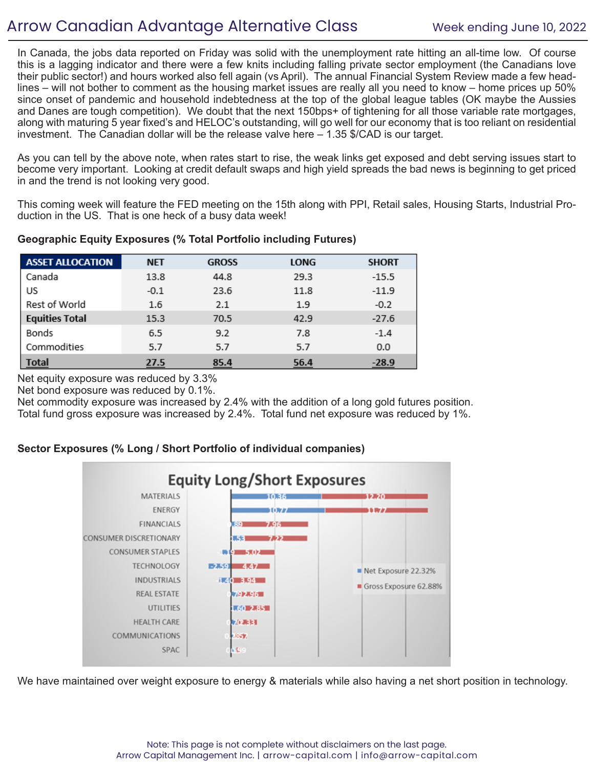# Arrow Canadian Advantage Alternative Class Week ending June 10, 2022

In Canada, the jobs data reported on Friday was solid with the unemployment rate hitting an all-time low. Of course this is a lagging indicator and there were a few knits including falling private sector employment (the Canadians love their public sector!) and hours worked also fell again (vs April). The annual Financial System Review made a few headlines – will not bother to comment as the housing market issues are really all you need to know – home prices up 50% since onset of pandemic and household indebtedness at the top of the global league tables (OK maybe the Aussies and Danes are tough competition). We doubt that the next 150bps+ of tightening for all those variable rate mortgages, along with maturing 5 year fixed's and HELOC's outstanding, will go well for our economy that is too reliant on residential investment. The Canadian dollar will be the release valve here – 1.35 \$/CAD is our target.

As you can tell by the above note, when rates start to rise, the weak links get exposed and debt serving issues start to become very important. Looking at credit default swaps and high yield spreads the bad news is beginning to get priced in and the trend is not looking very good.

This coming week will feature the FED meeting on the 15th along with PPI, Retail sales, Housing Starts, Industrial Production in the US. That is one heck of a busy data week!

| <b>ASSET ALLOCATION</b> | <b>NET</b> | <b>GROSS</b> | <b>LONG</b> | <b>SHORT</b> |
|-------------------------|------------|--------------|-------------|--------------|
| Canada                  | 13.8       | 44.8         | 29.3        | $-15.5$      |
| US                      | $-0.1$     | 23.6         | 11.8        | $-11.9$      |
| Rest of World           | 1.6        | 2.1          | 1.9         | $-0.2$       |
| <b>Equities Total</b>   | 15.3       | 70.5         | 42.9        | $-27.6$      |
| Bonds                   | 6.5        | 9.2          | 7.8         | $-1.4$       |
| Commodities             | 5.7        | 5.7          | 5.7         | 0.0          |
| <b>Total</b>            | 27.5       | 85.4         | 56.4        | $-28.9$      |

## **Geographic Equity Exposures (% Total Portfolio including Futures)**

Net equity exposure was reduced by 3.3%

Net bond exposure was reduced by 0.1%.

Net commodity exposure was increased by 2.4% with the addition of a long gold futures position. Total fund gross exposure was increased by 2.4%. Total fund net exposure was reduced by 1%.

# **Sector Exposures (% Long / Short Portfolio of individual companies)**



We have maintained over weight exposure to energy & materials while also having a net short position in technology.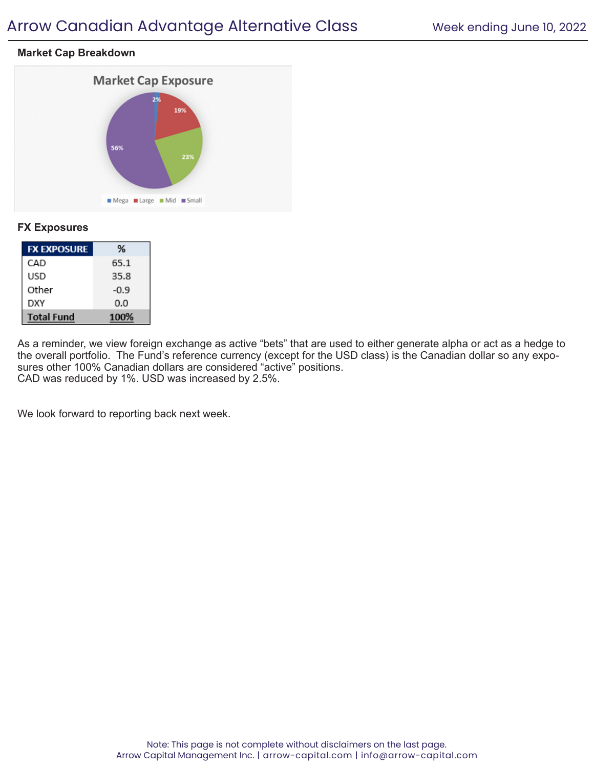# Arrow Canadian Advantage Alternative Class Week ending June 10, 2022

## **Market Cap Breakdown**



## **FX Exposures**

| <b>FX EXPOSURE</b> | ℅    |
|--------------------|------|
| CAD                | 65.1 |
| USD                | 35.8 |
| Other              | -0.9 |
| DXY                | 0.0  |
| <b>Total Fund</b>  | 100% |

As a reminder, we view foreign exchange as active "bets" that are used to either generate alpha or act as a hedge to the overall portfolio. The Fund's reference currency (except for the USD class) is the Canadian dollar so any exposures other 100% Canadian dollars are considered "active" positions. CAD was reduced by 1%. USD was increased by 2.5%.

We look forward to reporting back next week.